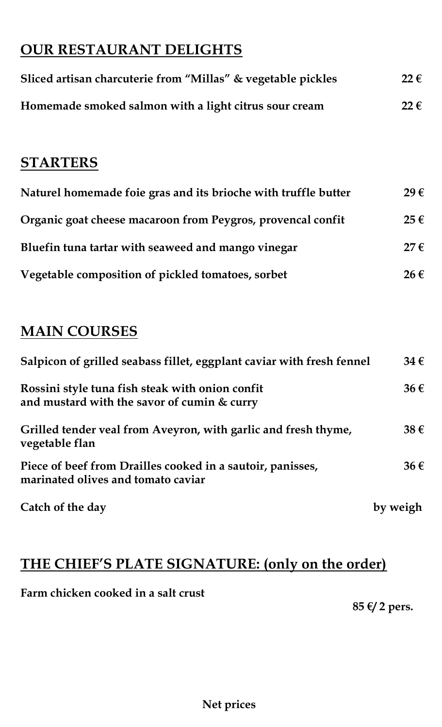# **OUR RESTAURANT DELIGHTS**

| Sliced artisan charcuterie from "Millas" & vegetable pickles | $22 \in$      |
|--------------------------------------------------------------|---------------|
| Homemade smoked salmon with a light citrus sour cream        | $22 \epsilon$ |

# **STARTERS**

| Naturel homemade foie gras and its brioche with truffle butter |          |
|----------------------------------------------------------------|----------|
| Organic goat cheese macaroon from Peygros, provencal confit    | 25€      |
| Bluefin tuna tartar with seaweed and mango vinegar             | $27 \in$ |
| Vegetable composition of pickled tomatoes, sorbet              | 26€      |

# **MAIN COURSES**

| Salpicon of grilled seabass fillet, eggplant caviar with fresh fennel                            |          |  |
|--------------------------------------------------------------------------------------------------|----------|--|
| Rossini style tuna fish steak with onion confit<br>and mustard with the savor of cumin & curry   | $36 \in$ |  |
| Grilled tender veal from Aveyron, with garlic and fresh thyme,<br>vegetable flan                 | 38€      |  |
| Piece of beef from Drailles cooked in a sautoir, panisses,<br>marinated olives and tomato caviar | $36 \in$ |  |
| Catch of the day                                                                                 | by weigh |  |

# **THE CHIEF'S PLATE SIGNATURE: (only on the order)**

## **Farm chicken cooked in a salt crust**

**85 €/ 2 pers.**